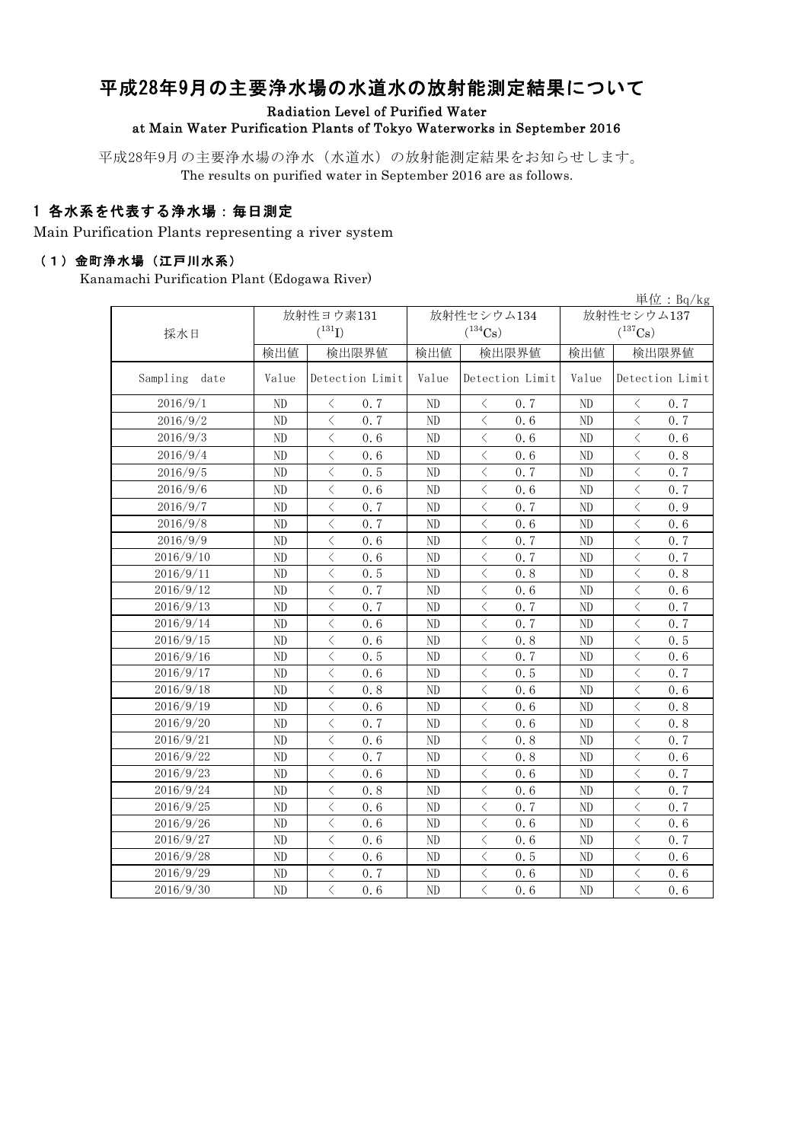# 平成28年9月の主要浄水場の水道水の放射能測定結果について

Radiation Level of Purified Water

#### at Main Water Purification Plants of Tokyo Waterworks in September 2016

平成28年9月の主要浄水場の浄水(水道水)の放射能測定結果をお知らせします。 The results on purified water in September 2016 are as follows.

### 1 各水系を代表する浄水場:毎日測定

Main Purification Plants representing a river system

#### (1)金町浄水場(江戸川水系)

Kanamachi Purification Plant (Edogawa River)

|                  |                |                                                 |                |                                                 |                | 単位: $Bq/kg$                                     |  |  |
|------------------|----------------|-------------------------------------------------|----------------|-------------------------------------------------|----------------|-------------------------------------------------|--|--|
|                  |                | 放射性ヨウ素131                                       |                | 放射性セシウム134                                      | 放射性セシウム137     |                                                 |  |  |
| 採水日              | $(^{131}I)$    |                                                 | $(^{134}Cs)$   |                                                 |                | $(^{137}\mathrm{Cs})$                           |  |  |
|                  | 検出値            | 検出限界値                                           | 検出値            | 検出限界値                                           | 検出値            | 検出限界値                                           |  |  |
| Sampling<br>date | Value          | Detection Limit                                 | Value          | Detection Limit                                 | Value          | Detection Limit                                 |  |  |
| 2016/9/1         | ND             | 0.7<br>$\langle$                                | N <sub>D</sub> | 0.7<br>ぐ                                        | N <sub>D</sub> | $\langle$<br>0.7                                |  |  |
| 2016/9/2         | N <sub>D</sub> | $\langle$<br>0.7                                | N <sub>D</sub> | $\lt$<br>0.6                                    | ND             | $\lt$<br>0.7                                    |  |  |
| 2016/9/3         | N <sub>D</sub> | $\langle$<br>0.6                                | N <sub>D</sub> | $\langle$<br>0.6                                | ND             | $\langle$<br>0.6                                |  |  |
| 2016/9/4         | ND             | $\langle$<br>0.6                                | ND             | $\overline{\left\langle \right\rangle }$<br>0.6 | ND             | $\overline{\left\langle \right\rangle }$<br>0.8 |  |  |
| 2016/9/5         | N <sub>D</sub> | $\lt$<br>0, 5                                   | N <sub>D</sub> | $\lt$<br>0.7                                    | N <sub>D</sub> | $\lt$<br>0.7                                    |  |  |
| 2016/9/6         | ND             | $\langle$<br>0.6                                | ND             | $\lt$<br>0.6                                    | ND             | $\langle$<br>0.7                                |  |  |
| 2016/9/7         | ND             | 0.7<br>$\langle$                                | ND             | $\lt$<br>0.7                                    | ND             | $\langle$<br>0.9                                |  |  |
| 2016/9/8         | ND             | $\langle$<br>0.7                                | ND             | $\langle$<br>0.6                                | ND             | $\langle$<br>0.6                                |  |  |
| 2016/9/9         | ND             | $\lt$<br>0.6                                    | N <sub>D</sub> | $\lt$<br>0.7                                    | N <sub>D</sub> | $\lt$<br>0.7                                    |  |  |
| 2016/9/10        | ND             | $\langle$<br>0.6                                | N <sub>D</sub> | 0.7<br>$\lt$                                    | ND             | $\lt$<br>0.7                                    |  |  |
| 2016/9/11        | N <sub>D</sub> | $\langle$<br>0.5                                | ND             | $\lt$<br>0.8                                    | N <sub>D</sub> | $\lt$<br>0.8                                    |  |  |
| 2016/9/12        | N <sub>D</sub> | $\lt$<br>0.7                                    | N <sub>D</sub> | $\overline{\left\langle \right\rangle }$<br>0.6 | ND             | $\lt$<br>0.6                                    |  |  |
| 2016/9/13        | ND             | $\langle$<br>0.7                                | ND             | $\lt$<br>0.7                                    | ND             | $\langle$<br>0.7                                |  |  |
| 2016/9/14        | N <sub>D</sub> | $\langle$<br>0, 6                               | ND             | $\langle$<br>0, 7                               | ND             | $\langle$<br>0.7                                |  |  |
| 2016/9/15        | ND             | $\langle$<br>0.6                                | ND             | $\langle$<br>0.8                                | ND             | $\overline{\left\langle \right\rangle }$<br>0.5 |  |  |
| 2016/9/16        | ND             | $\langle$<br>0.5                                | ND             | $\lt$<br>0.7                                    | ND             | $\langle$<br>0.6                                |  |  |
| 2016/9/17        | ND             | $\lt$<br>0.6                                    | N <sub>D</sub> | $\lt$<br>0.5                                    | ND             | $\lt$<br>0.7                                    |  |  |
| 2016/9/18        | ND             | $\lt$<br>0.8                                    | ND             | $\langle$<br>0.6                                | ND             | $\langle$<br>0.6                                |  |  |
| 2016/9/19        | N <sub>D</sub> | $\langle$<br>0.6                                | ND             | $\lt$<br>0.6                                    | N <sub>D</sub> | $\lt$<br>0.8                                    |  |  |
| 2016/9/20        | ND             | $\langle$<br>0.7                                | ND             | $\lt$<br>0.6                                    | ND             | $\langle$<br>0.8                                |  |  |
| 2016/9/21        | ND             | $\langle$<br>0.6                                | ND             | $\langle$<br>0.8                                | ND             | $\langle$<br>0.7                                |  |  |
| 2016/9/22        | ND             | $\langle$<br>0.7                                | ND             | $\lt$<br>0.8                                    | N <sub>D</sub> | $\langle$<br>0.6                                |  |  |
| 2016/9/23        | ND             | $\langle$<br>0.6                                | N <sub>D</sub> | $\lt$<br>0.6                                    | ND             | $\langle$<br>0.7                                |  |  |
| 2016/9/24        | ND             | $\lt$<br>0.8                                    | N <sub>D</sub> | $\lt$<br>0.6                                    | ND             | $\lt$<br>0.7                                    |  |  |
| 2016/9/25        | N <sub>D</sub> | $\langle$<br>0.6                                | ND             | $\lt$<br>0.7                                    | N <sub>D</sub> | $\lt$<br>0.7                                    |  |  |
| 2016/9/26        | ND             | $\lt$<br>0.6                                    | N <sub>D</sub> | $\langle$<br>0.6                                | ND             | $\langle$<br>0.6                                |  |  |
| 2016/9/27        | ND             | $\langle$<br>0.6                                | ND             | $\lt$<br>0.6                                    | ND             | $\langle$<br>0.7                                |  |  |
| 2016/9/28        | ND             | $\langle$<br>0.6                                | N <sub>D</sub> | $\langle$<br>0.5                                | ND             | $\langle$<br>0.6                                |  |  |
| 2016/9/29        | ND             | $\lt$<br>0.7                                    | N <sub>D</sub> | $\overline{\left\langle \right\rangle }$<br>0.6 | ND             | $\overline{\left\langle \right\rangle }$<br>0.6 |  |  |
| 2016/9/30        | ND             | $\overline{\left\langle \right\rangle }$<br>0.6 | ND             | $\overline{\left\langle \right\rangle }$<br>0.6 | ND             | $\overline{\left\langle \right\rangle }$<br>0.6 |  |  |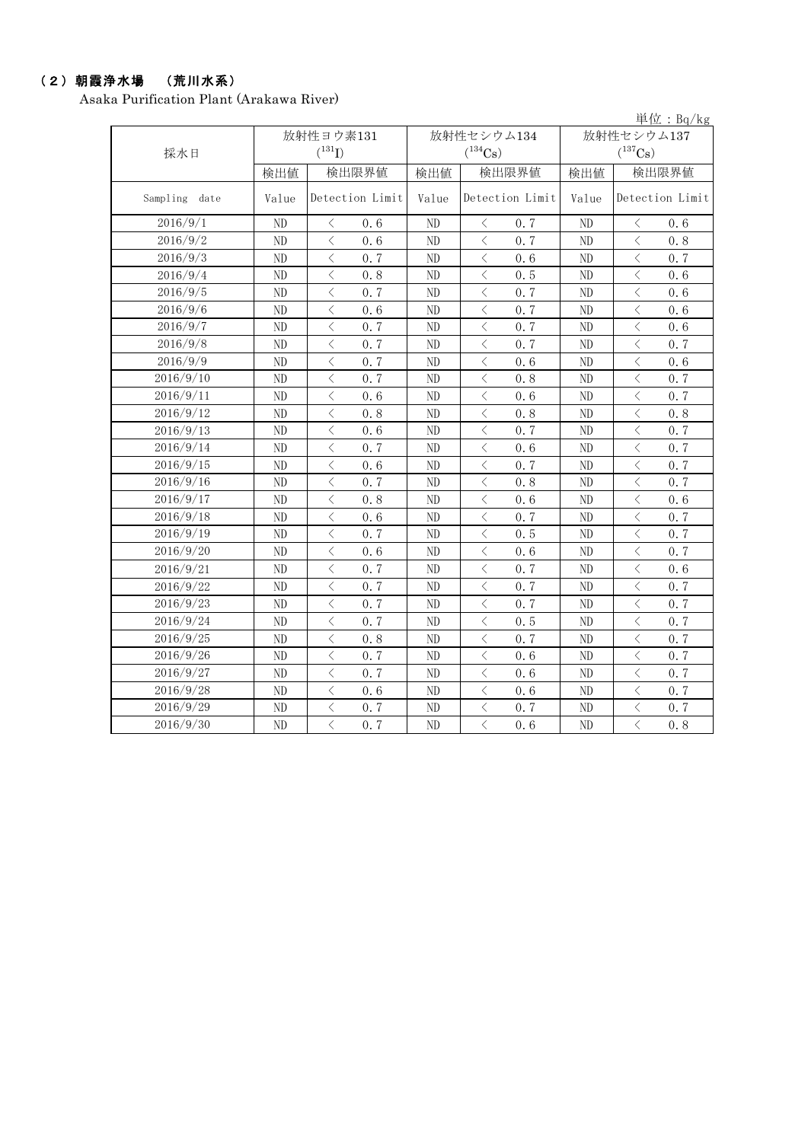#### (2)朝霞浄水場 (荒川水系)

Asaka Purification Plant (Arakawa River)

単位:Bq/kg 検出値 | 検出値 | 検出限界値 | 検出値 Value Detection Limit | Value Detection Limit | Value ND < 0.6 ND < 0.7 ND < 0.6 ND < 0.6 ND < 0.7 ND < 0.8 ND < 0.7 ND < 0.6 ND < 0.7 ND < 0.8 ND < 0.5 ND < 0.6 ND < 0.7 ND < 0.7 ND < 0.6 ND < 0.6 ND < 0.7 ND < 0.6 ND < 0.7 ND < 0.7 ND < 0.6 ND  $\vert$   $\langle$  0.7  $\vert$  ND  $\vert$   $\langle$  0.7  $\vert$  ND  $\vert$   $\langle$  0.7 ND < 0.7 ND < 0.6 ND < 0.6 ND  $\vert$   $\langle$  0.7  $\vert$  ND  $\vert$   $\langle$  0.8  $\vert$  ND  $\vert$   $\langle$  0.7 ND  $\vert$   $\langle$  0.6  $\vert$  ND  $\vert$   $\langle$  0.6  $\vert$  ND  $\vert$   $\langle$  0.7 ND < 0.8 ND < 0.8 ND < 0.8 ND < 0.6 ND < 0.7 ND < 0.7 ND < 0.7 ND < 0.6 ND < 0.7 ND < 0.6 ND < 0.7 ND < 0.7 ND < 0.7 ND < 0.8 ND < 0.7 ND < 0.8 ND < 0.6 ND < 0.6 ND < 0.6 ND < 0.7 ND < 0.7 ND < 0.7 ND < 0.5 ND < 0.7 ND < 0.6 ND < 0.6 ND < 0.7 ND < 0.7 ND < 0.7 ND < 0.6 ND  $\vert$   $\langle$  0.7  $\vert$  ND  $\vert$   $\langle$  0.7  $\vert$  ND  $\vert$   $\langle$  0.7 ND  $\vert$   $\langle$  0.7  $\vert$  ND  $\vert$   $\langle$  0.7  $\vert$  ND  $\vert$   $\langle$  0.7 ND  $\vert$   $\langle$  0.7  $\vert$  ND  $\vert$   $\langle$  0.5  $\vert$  ND  $\vert$   $\langle$  0.7 ND < 0.8 ND < 0.7 ND < 0.7 ND < 0.7 ND < 0.6 ND < 0.7 ND < 0.7 ND < 0.6 ND < 0.7 ND < 0.6 ND < 0.6 ND < 0.7 ND < 0.7 ND < 0.7 ND < 0.7 ND < 0.7 ND < 0.6 ND < 0.8 2016/9/15 2016/9/26 2016/9/2 2016/9/1 2016/9/7 2016/9/8 2016/9/5 2016/9/6 Sampling date 2016/9/4 2016/9/11 2016/9/9 2016/9/22 2016/9/12 2016/9/13 2016/9/19 2016/9/14 2016/9/28 2016/9/29 2016/9/30 2016/9/3 放射性ヨウ素131  $(^{131}I)$ 2016/9/16 検出限界値 Detection Limit | Value | Detection Limit 検出限界値 採水日 放射性セシウム137  $(^{137}\mathrm{Cs})$ 放射性セシウム134  $(^{134}Cs)$ 2016/9/27 2016/9/10 2016/9/20 2016/9/21 2016/9/24 2016/9/25 2016/9/23 2016/9/17 2016/9/18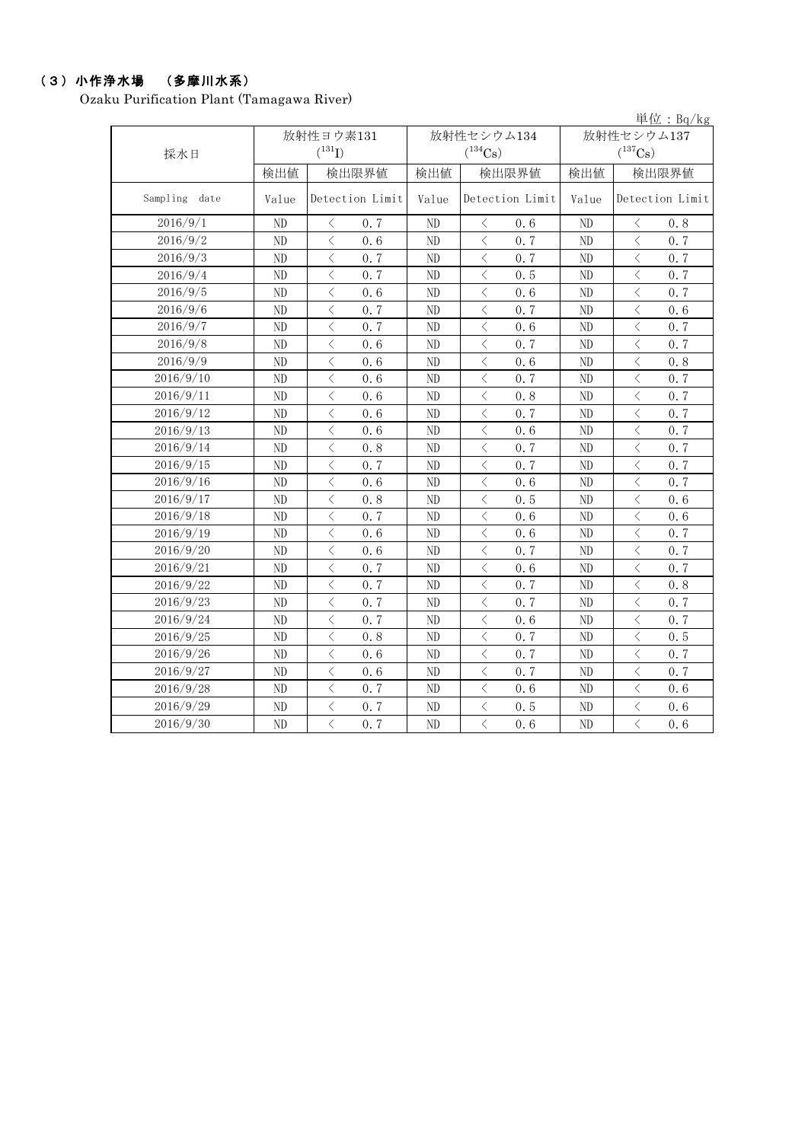# (3)小作浄水場 (多摩川水系)

Ozaku Purification Plant (Tamagawa River)

|               |                |                                                 |                |                                                 |                |                                                                                                                                                                              | 単位: $Bq/kg$     |
|---------------|----------------|-------------------------------------------------|----------------|-------------------------------------------------|----------------|------------------------------------------------------------------------------------------------------------------------------------------------------------------------------|-----------------|
|               |                | 放射性ヨウ素131                                       |                | 放射性セシウム134                                      | 放射性セシウム137     |                                                                                                                                                                              |                 |
| 採水日           |                | $(^{131}I)$                                     |                | $(^{134}Cs)$                                    | $(^{137}Cs)$   |                                                                                                                                                                              |                 |
|               | 検出値            | 検出限界値                                           | 検出値            | 検出限界値                                           | 検出値            | 検出限界値                                                                                                                                                                        |                 |
| Sampling date | Value          | Detection Limit                                 | Value          | Detection Limit                                 | Value          |                                                                                                                                                                              | Detection Limit |
| 2016/9/1      | N <sub>D</sub> | 0.7<br>$\lt$                                    | N <sub>D</sub> | 0.6<br>$\lt$                                    | N <sub>D</sub> | $\lt$                                                                                                                                                                        | 0.8             |
| 2016/9/2      | N <sub>D</sub> | $\langle$<br>0.6                                | N <sub>D</sub> | $\langle$<br>0, 7                               | N <sub>D</sub> | $\langle$                                                                                                                                                                    | 0, 7            |
| 2016/9/3      | ND             | $\lt$<br>0.7                                    | ND             | $\lt$<br>0, 7                                   | ND             | $\langle$                                                                                                                                                                    | 0.7             |
| 2016/9/4      | ND             | $\lt$<br>0.7                                    | ND             | $\langle$<br>0.5                                | N <sub>D</sub> | $\langle$                                                                                                                                                                    | 0.7             |
| 2016/9/5      | ND             | $\lt$<br>0.6                                    | ND             | $\langle$<br>0.6                                | N <sub>D</sub> | $\lt$                                                                                                                                                                        | 0.7             |
| 2016/9/6      | ND             | $\lt$<br>0.7                                    | ND             | $\langle$<br>0.7                                | ND             | $\lt$                                                                                                                                                                        | 0.6             |
| 2016/9/7      | ND             | $\langle$<br>0.7                                | ND             | $\lt$<br>0.6                                    | ND             | $\lt$                                                                                                                                                                        | 0.7             |
| 2016/9/8      | ND             | $\langle$<br>0.6                                | ND             | 0.7<br>$\langle$                                | ND             | $\langle$                                                                                                                                                                    | 0.7             |
| 2016/9/9      | ND             | $\langle$<br>0.6                                | ND             | $\lt$<br>0.6                                    | ND             | $\lt$                                                                                                                                                                        | 0.8             |
| 2016/9/10     | ND             | $\langle$<br>0.6                                | ND             | $\lt$<br>0.7                                    | ND             | $\lt$                                                                                                                                                                        | 0.7             |
| 2016/9/11     | $\rm ND$       | $\langle$<br>0.6                                | ND             | $\langle$<br>0.8                                | ND             | $\langle$                                                                                                                                                                    | 0.7             |
| 2016/9/12     | ND             | $\langle$<br>0.6                                | ND             | $\overline{\left\langle \right\rangle }$<br>0.7 | ND             | $\langle$                                                                                                                                                                    | 0.7             |
| 2016/9/13     | ND             | $\overline{\left\langle \right\rangle }$<br>0.6 | ND             | $\overline{\left\langle \right\rangle }$<br>0.6 | N <sub>D</sub> | $\overline{\left\langle \right\rangle }$                                                                                                                                     | 0.7             |
| 2016/9/14     | ND             | $\langle$<br>0.8                                | ND             | $\lt$<br>0.7                                    | N <sub>D</sub> | $\lt$                                                                                                                                                                        | 0.7             |
| 2016/9/15     | ND             | $\lt$<br>0.7                                    | N <sub>D</sub> | $\langle$<br>0.7                                | ND             | $\lt$                                                                                                                                                                        | 0.7             |
| 2016/9/16     | ND             | $\overline{\left\langle \right\rangle }$<br>0.6 | N <sub>D</sub> | $\overline{\left\langle \right\rangle }$<br>0.6 | ND             | $\overline{\left\langle \right\rangle }$                                                                                                                                     | 0.7             |
| 2016/9/17     | ND             | $\lt$<br>0.8                                    | ND             | $\langle$<br>0.5                                | ND             | $\lt$                                                                                                                                                                        | 0.6             |
| 2016/9/18     | ND             | $\langle$<br>0.7                                | ND             | $\lt$<br>0.6                                    | N <sub>D</sub> | $\langle$                                                                                                                                                                    | 0.6             |
| 2016/9/19     | N <sub>D</sub> | $\lt$<br>0.6                                    | N <sub>D</sub> | $\lt$<br>0, 6                                   | ND             | $\lt$                                                                                                                                                                        | 0.7             |
| 2016/9/20     | N <sub>D</sub> | $\lt$<br>0.6                                    | N <sub>D</sub> | $\lt$<br>0, 7                                   | N <sub>D</sub> | $\lt$                                                                                                                                                                        | 0.7             |
| 2016/9/21     | ND             | $\lt$<br>0.7                                    | ND             | $\langle$<br>0.6                                | ND             | $\lt$                                                                                                                                                                        | 0.7             |
| 2016/9/22     | ND             | $\lt$<br>0.7                                    | ND             | $\lt$<br>0.7                                    | ND             | $\lt$                                                                                                                                                                        | 0.8             |
| 2016/9/23     | $\rm ND$       | $\lt$<br>0.7                                    | ND             | 0.7<br>$\lt$                                    | ND             | $\lt$                                                                                                                                                                        | 0.7             |
| 2016/9/24     | ND             | $\langle$<br>0.7                                | ND             | $\lt$<br>0.6                                    | ND             | $\lt$                                                                                                                                                                        | 0.7             |
| 2016/9/25     | ND             | $\langle$<br>0.8                                | ND             | $\lt$<br>0.7                                    | ND             | $\langle$                                                                                                                                                                    | 0.5             |
| 2016/9/26     | ND             | $\langle$<br>0.6                                | ND             | $\lt$<br>0.7                                    | ND             | $\langle$                                                                                                                                                                    | 0.7             |
| 2016/9/27     | ND             | $\lt$<br>0.6                                    | ND             | $\langle$<br>0.7                                | ND             | $\lt$                                                                                                                                                                        | 0.7             |
| 2016/9/28     | ND             | $\,<\,$<br>0.7                                  | ND             | $\langle$<br>0.6                                | ND             | $\overline{\left\langle \right\rangle }$                                                                                                                                     | 0.6             |
| 2016/9/29     | ND             | $\,<\,$<br>0.7                                  | ND             | $\langle$<br>0.5                                | ND             | $\overline{\left\langle \right. }% ,\left\langle \overline{\left\langle \right. }% ,\left\langle \overline{\left\langle \right. }\right\rangle \right\rangle \left. \right.$ | 0.6             |
| 2016/9/30     | N <sub>D</sub> | $\overline{\left\langle \right\rangle }$<br>0.7 | N <sub>D</sub> | $\overline{\left\langle \right\rangle }$<br>0.6 | N <sub>D</sub> | $\overline{\left\langle \right\rangle }$                                                                                                                                     | 0.6             |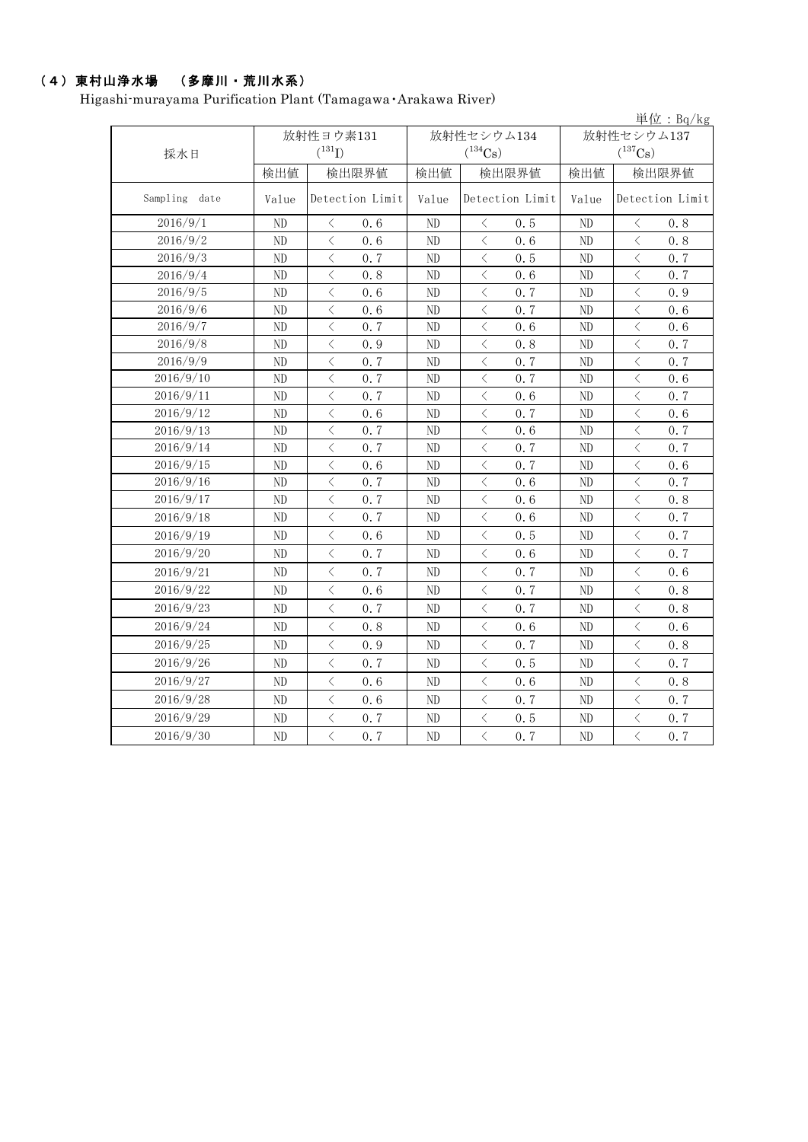## (4)東村山浄水場 (多摩川・荒川水系)

Higashi-murayama Purification Plant (Tamagawa・Arakawa River)

|               |                |                                                 |          |                                                 |                | 単位: $Bq/kg$                                     |  |
|---------------|----------------|-------------------------------------------------|----------|-------------------------------------------------|----------------|-------------------------------------------------|--|
|               |                | 放射性ヨウ素131                                       |          | 放射性セシウム134                                      | 放射性セシウム137     |                                                 |  |
| 採水日           |                | $(^{131}I)$                                     |          | $(^{134}Cs)$                                    |                | $(^{137}Cs)$                                    |  |
|               | 検出値            | 検出限界値                                           | 検出値      | 検出限界値                                           |                | 検出限界値                                           |  |
| Sampling date | Value          | Detection Limit                                 | Value    | Detection Limit                                 | Value          | Detection Limit                                 |  |
| 2016/9/1      | ND             | 0.6<br>$\langle$                                | ND       | 0.5<br>$\langle$                                | ND             | 0.8<br>$\langle$                                |  |
| 2016/9/2      | ND             | $\overline{\left\langle \right\rangle }$<br>0.6 | ND       | $\lt$<br>0.6                                    | ND             | $\overline{\left\langle \right\rangle }$<br>0.8 |  |
| 2016/9/3      | ND             | $\lt$<br>0.7                                    | ND       | $\langle$<br>0.5                                | ND             | $\lt$<br>0.7                                    |  |
| 2016/9/4      | ND             | $\lt$<br>0.8                                    | ND       | $\langle$<br>0.6                                | ND             | $\lt$<br>0.7                                    |  |
| 2016/9/5      | ND             | $\langle$<br>0.6                                | ND       | $\langle$<br>0.7                                | ND             | $\langle$<br>0.9                                |  |
| 2016/9/6      | ND             | $\langle$<br>0.6                                | ND       | $\langle$<br>0.7                                | N <sub>D</sub> | $\langle$<br>0.6                                |  |
| 2016/9/7      | ND             | $\,<\,$<br>0.7                                  | ND       | $\langle$<br>0.6                                | ND             | $\lt$<br>0.6                                    |  |
| 2016/9/8      | N <sub>D</sub> | $\langle$<br>0.9                                | ND       | $\lt$<br>0.8                                    | N <sub>D</sub> | $\langle$<br>0.7                                |  |
| 2016/9/9      | ND             | $\langle$<br>0.7                                | ND       | $\langle$<br>0.7                                | ND             | $\langle$<br>0.7                                |  |
| 2016/9/10     | ND             | $\langle$<br>0.7                                | ND       | $\langle$<br>0.7                                | ND             | $\langle$<br>0.6                                |  |
| 2016/9/11     | ND             | $\overline{\left\langle \right\rangle }$<br>0.7 | ND       | $\overline{\left\langle \right\rangle }$<br>0.6 | ND             | $\langle$<br>0.7                                |  |
| 2016/9/12     | ND             | $\langle$<br>0.6                                | ND       | $\langle$<br>0.7                                | ND             | $\langle$<br>0.6                                |  |
| 2016/9/13     | ${\rm ND}$     | $\langle$<br>0.7                                | $\rm ND$ | $\lt$<br>0.6                                    | ND             | $\langle$<br>0.7                                |  |
| 2016/9/14     | $\rm ND$       | $\langle$<br>0.7                                | $\rm ND$ | $\lt$<br>0.7                                    | ND             | $\langle$<br>0.7                                |  |
| 2016/9/15     | ND             | $\lt$<br>0.6                                    | ND       | $\lt$<br>0.7                                    | ND             | $\langle$<br>0.6                                |  |
| 2016/9/16     | ND             | $\lt$<br>0.7                                    | ND       | $\lt$<br>0.6                                    | ND             | $\lt$<br>0.7                                    |  |
| 2016/9/17     | ND             | $\langle$<br>0.7                                | ND       | $\lt$<br>0.6                                    | ND             | $\lt$<br>0.8                                    |  |
| 2016/9/18     | ND             | $\lt$<br>0, 7                                   | ND       | $\lt$<br>0.6                                    | ND             | $\lt$<br>0.7                                    |  |
| 2016/9/19     | ND             | $\langle$<br>0.6                                | ND       | $\langle$<br>0.5                                | N <sub>D</sub> | $\langle$<br>0.7                                |  |
| 2016/9/20     | ND             | $\langle$<br>0.7                                | ND       | $\langle$<br>0.6                                | ND             | $\langle$<br>0.7                                |  |
| 2016/9/21     | ND             | $\lt$<br>0.7                                    | ND       | $\lt$<br>0.7                                    | ND             | $\lt$<br>0.6                                    |  |
| 2016/9/22     | ND             | $\overline{\left\langle \right\rangle }$<br>0.6 | ND       | $\lt$<br>0.7                                    | N <sub>D</sub> | $\lt$<br>0.8                                    |  |
| 2016/9/23     | ND             | $\langle$<br>0, 7                               | ND       | $\langle$<br>0.7                                | ND             | $\langle$<br>0.8                                |  |
| 2016/9/24     | N <sub>D</sub> | $\langle$<br>0.8                                | $\rm ND$ | $\langle$<br>0.6                                | ND             | $\langle$<br>0.6                                |  |
| 2016/9/25     | ND             | $\lt$<br>0.9                                    | ND       | $\lt$<br>0.7                                    | ND             | $\lt$<br>0.8                                    |  |
| 2016/9/26     | ND             | $\langle$<br>0, 7                               | ND       | 0.5<br>$\lt$                                    | ND             | 0.7<br>$\langle$                                |  |
| 2016/9/27     | ND             | $\langle$<br>0.6                                | ND       | $\langle$<br>0.6                                | ND             | $\langle$<br>0.8                                |  |
| 2016/9/28     | ND             | $\langle$<br>0.6                                | ND       | $\lt$<br>0.7                                    | ND             | $\langle$<br>0.7                                |  |
| 2016/9/29     | ND             | $\, \leqslant$<br>0.7                           | ND       | $\lt$<br>0.5                                    | ND             | $\lt$<br>0.7                                    |  |
| 2016/9/30     | ND             | $\langle$<br>0.7                                | ND       | $\langle$<br>0.7                                | ND             | $\overline{\left\langle \right\rangle }$<br>0.7 |  |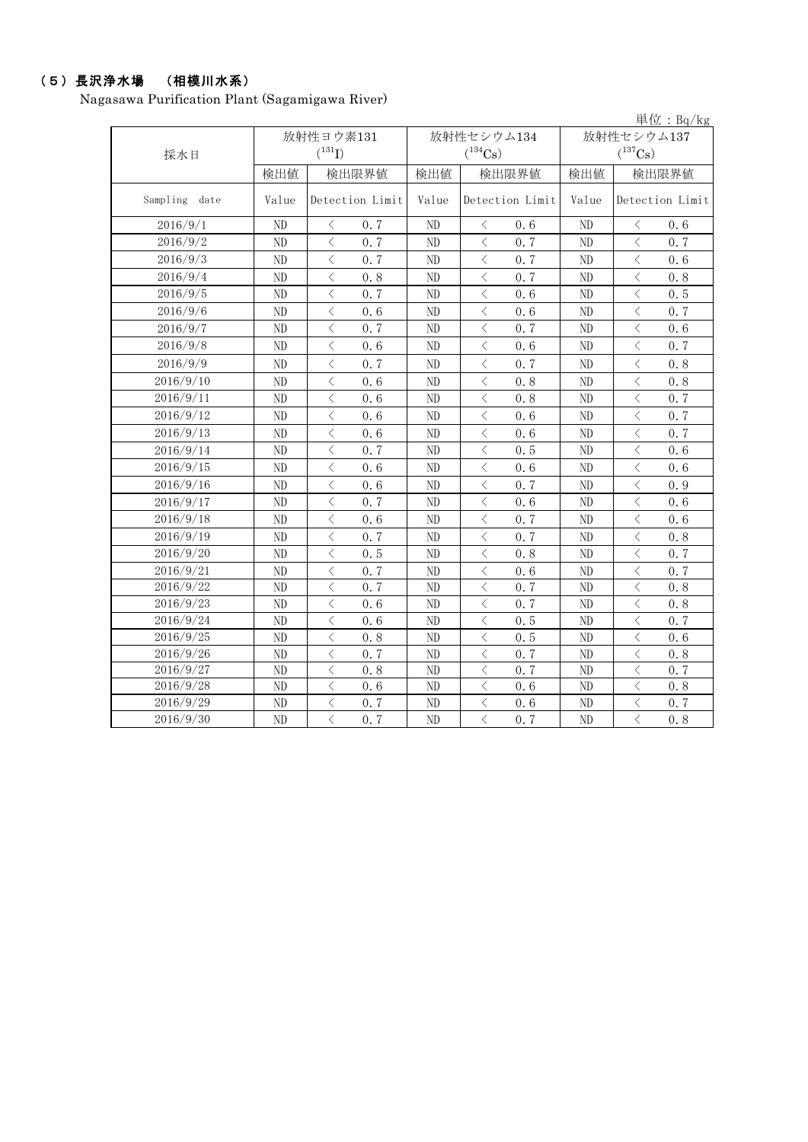# (5)長沢浄水場 (相模川水系)

Nagasawa Purification Plant (Sagamigawa River)

|               |                |                                                 |                |                                                 |                | 単位: $Bq/kg$                                                                                                                                                          |  |  |
|---------------|----------------|-------------------------------------------------|----------------|-------------------------------------------------|----------------|----------------------------------------------------------------------------------------------------------------------------------------------------------------------|--|--|
|               |                | 放射性ヨウ素131                                       |                | 放射性セシウム134                                      | 放射性セシウム137     |                                                                                                                                                                      |  |  |
| 採水日           |                | $(^{131}I)$                                     |                | $(^{134}Cs)$                                    | $(^{137}Cs)$   |                                                                                                                                                                      |  |  |
|               | 検出値            | 検出限界値                                           | 検出値            | 検出限界値                                           | 検出値            | 検出限界値                                                                                                                                                                |  |  |
| Sampling date | Value          | Detection Limit                                 | Value          | Detection Limit                                 | Value          | Detection Limit                                                                                                                                                      |  |  |
| 2016/9/1      | N <sub>D</sub> | 0.7<br>$\langle$                                | ND             | 0.6<br>$\lt$                                    | N <sub>D</sub> | 0.6<br>$\langle$                                                                                                                                                     |  |  |
| 2016/9/2      | ND             | $\langle$<br>0.7                                | ND             | $\langle$<br>0.7                                | ND             | $\lt$<br>0.7                                                                                                                                                         |  |  |
| 2016/9/3      | ND             | $\langle$<br>0.7                                | $\rm ND$       | $\langle$<br>0.7                                | $\rm ND$       | $\lt$<br>0.6                                                                                                                                                         |  |  |
| 2016/9/4      | N <sub>D</sub> | $\overline{\left\langle \right\rangle }$<br>0.8 | ND             | $\langle$<br>0.7                                | ND             | $\langle$<br>0.8                                                                                                                                                     |  |  |
| 2016/9/5      | ND             | $\langle$<br>0.7                                | N <sub>D</sub> | $\lt$<br>0.6                                    | ND             | $\langle$<br>0.5                                                                                                                                                     |  |  |
| 2016/9/6      | ND             | $\overline{\left\langle \right\rangle }$<br>0.6 | ND             | $\overline{\left\langle \right\rangle }$<br>0.6 | ND             | $\overline{\left\langle \right. }% ,\left\langle \overline{\left\langle \right. }% ,\left\langle \overline{\left\langle \right\rangle }\right\rangle \right.$<br>0.7 |  |  |
| 2016/9/7      | ND             | $\overline{\left\langle \right\rangle }$<br>0.7 | ND             | $\overline{\left\langle \right\rangle }$<br>0.7 | N <sub>D</sub> | $\langle$<br>0.6                                                                                                                                                     |  |  |
| 2016/9/8      | ND             | $\lt$<br>0.6                                    | N <sub>D</sub> | $\langle$<br>0.6                                | ND             | $\, <\,$<br>0.7                                                                                                                                                      |  |  |
| 2016/9/9      | ND             | $\overline{\left\langle \right\rangle }$<br>0.7 | ND             | $\langle$<br>0.7                                | ND             | $\overline{\left\langle \right\rangle }$<br>0.8                                                                                                                      |  |  |
| 2016/9/10     | ND             | $\overline{\left\langle \right\rangle }$<br>0.6 | ND             | $\langle$<br>0.8                                | ND             | $\langle$<br>0.8                                                                                                                                                     |  |  |
| 2016/9/11     | ND             | $\lt$<br>0.6                                    | N <sub>D</sub> | $\lt$<br>0.8                                    | ND             | $\lt$<br>0.7                                                                                                                                                         |  |  |
| 2016/9/12     | ND             | $\langle$<br>0.6                                | ND             | $\lt$<br>0.6                                    | ND             | $\lt$<br>0.7                                                                                                                                                         |  |  |
| 2016/9/13     | ND             | $\langle$<br>0.6                                | ND             | $\langle$<br>0.6                                | ND             | $\langle$<br>0.7                                                                                                                                                     |  |  |
| 2016/9/14     | ND             | $\langle$<br>0.7                                | ND             | $\langle$<br>0.5                                | ND             | $\langle$<br>0.6                                                                                                                                                     |  |  |
| 2016/9/15     | ND             | $\langle$<br>0.6                                | ND             | $\lt$<br>0.6                                    | $\rm ND$       | $\lt$<br>0.6                                                                                                                                                         |  |  |
| 2016/9/16     | ND             | $\overline{\left\langle \right\rangle }$<br>0.6 | ND             | $\lt$<br>0.7                                    | ND             | $\lt$<br>0.9                                                                                                                                                         |  |  |
| 2016/9/17     | ND             | $\lt$<br>0.7                                    | N <sub>D</sub> | $\langle$<br>0.6                                | ND             | $\lt$<br>0.6                                                                                                                                                         |  |  |
| 2016/9/18     | ND             | $\overline{\left\langle \right\rangle }$<br>0.6 | ND             | $\,<\,$<br>0.7                                  | ND             | $\langle$<br>0.6                                                                                                                                                     |  |  |
| 2016/9/19     | ND             | $\langle$<br>0.7                                | ND             | $\langle$<br>0.7                                | ND             | $\langle$<br>0.8                                                                                                                                                     |  |  |
| 2016/9/20     | ND             | $\langle$<br>0.5                                | N <sub>D</sub> | $\langle$<br>0.8                                | ND             | $\langle$<br>0.7                                                                                                                                                     |  |  |
| 2016/9/21     | ND             | $\overline{\left\langle \right\rangle }$<br>0.7 | ND             | $\lt$<br>0.6                                    | $\rm ND$       | $\overline{\left\langle \right\rangle }$<br>0.7                                                                                                                      |  |  |
| 2016/9/22     | ND             | $\overline{\left\langle \right\rangle }$<br>0.7 | ND             | $\overline{\left\langle \right\rangle }$<br>0.7 | ND             | $\overline{\left\langle \right\rangle }$<br>0.8                                                                                                                      |  |  |
| 2016/9/23     | ${\rm ND}$     | $\lt$<br>0.6                                    | ND             | $\lt$<br>0, 7                                   | $\rm ND$       | $\lt$<br>0.8                                                                                                                                                         |  |  |
| 2016/9/24     | ND             | $\overline{\left\langle \right\rangle }$<br>0.6 | ND             | $\lt$<br>0.5                                    | $\rm ND$       | $\overline{\left\langle \right\rangle }$<br>0.7                                                                                                                      |  |  |
| 2016/9/25     | ND             | $\langle$<br>0.8                                | ND             | $\lt$<br>0.5                                    | ND             | $\lt$<br>0.6                                                                                                                                                         |  |  |
| 2016/9/26     | ND             | $\overline{\left\langle \right\rangle }$<br>0.7 | ND             | $\langle$<br>0.7                                | ND             | $\lt$<br>$0.8$                                                                                                                                                       |  |  |
| 2016/9/27     | ND             | $\langle$<br>0.8                                | N <sub>D</sub> | $\langle$<br>0.7                                | ND             | $\langle$<br>0.7                                                                                                                                                     |  |  |
| 2016/9/28     | ND             | $\langle$<br>0.6                                | ND             | $\lt$<br>0.6                                    | ND             | $\lt$<br>0.8                                                                                                                                                         |  |  |
| 2016/9/29     | ND             | $\lt$<br>0.7                                    | ND             | $\lt$<br>0.6                                    | $\rm ND$       | $\, \leqslant$<br>0.7                                                                                                                                                |  |  |
| 2016/9/30     | ND             | $\overline{\left\langle \right\rangle }$<br>0.7 | N <sub>D</sub> | $\langle$<br>0.7                                | ND             | $\langle$<br>0.8                                                                                                                                                     |  |  |